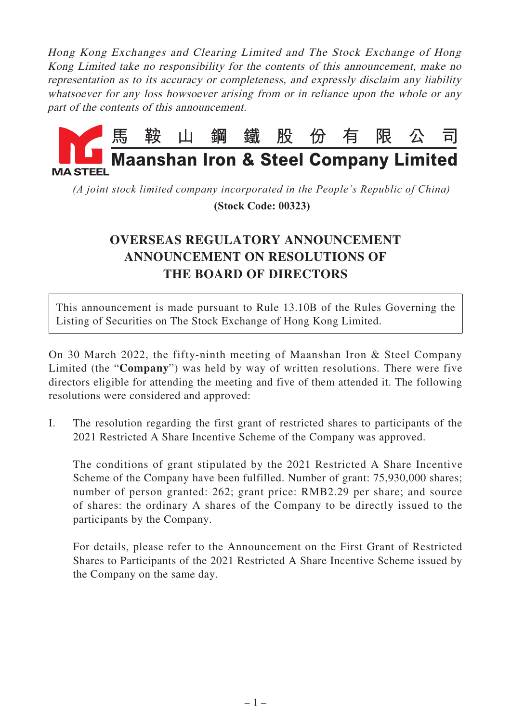Hong Kong Exchanges and Clearing Limited and The Stock Exchange of Hong Kong Limited take no responsibility for the contents of this announcement, make no representation as to its accuracy or completeness, and expressly disclaim any liability whatsoever for any loss howsoever arising from or in reliance upon the whole or any part of the contents of this announcement.



*(A joint stock limited company incorporated in the People's Republic of China)*

 **(Stock Code: 00323)**

## **OVERSEAS REGULATORY ANNOUNCEMENT ANNOUNCEMENT ON RESOLUTIONS OF THE BOARD OF DIRECTORS**

This announcement is made pursuant to Rule 13.10B of the Rules Governing the Listing of Securities on The Stock Exchange of Hong Kong Limited.

On 30 March 2022, the fifty-ninth meeting of Maanshan Iron & Steel Company Limited (the "**Company**") was held by way of written resolutions. There were five directors eligible for attending the meeting and five of them attended it. The following resolutions were considered and approved:

I. The resolution regarding the first grant of restricted shares to participants of the 2021 Restricted A Share Incentive Scheme of the Company was approved.

The conditions of grant stipulated by the 2021 Restricted A Share Incentive Scheme of the Company have been fulfilled. Number of grant: 75,930,000 shares; number of person granted: 262; grant price: RMB2.29 per share; and source of shares: the ordinary A shares of the Company to be directly issued to the participants by the Company.

For details, please refer to the Announcement on the First Grant of Restricted Shares to Participants of the 2021 Restricted A Share Incentive Scheme issued by the Company on the same day.